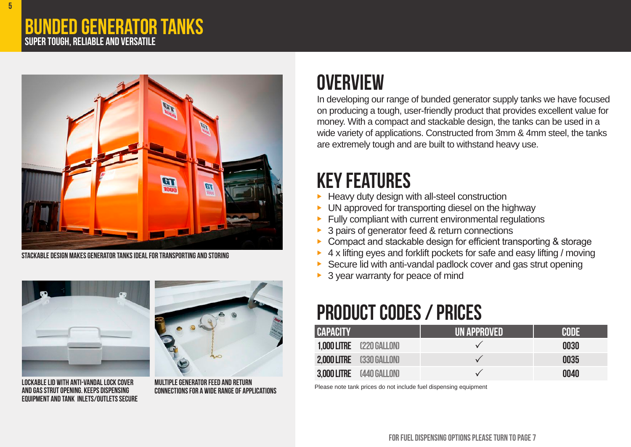#### Bunded generator tanks Super tough, reliable and versatile



STACKABLE DESIGN MAKES GENERATOR TANKS IDEAL FOR TRANSPORTING AND STORING



lockablelid with anti-vandallock cover and gas strut opening. Keeps dispensing **EQUIPMENT AND TANK INLETS/OUTLETS SECURE** 



multiplegenerator feed and return connectionsfor a wide rangeof applications

## **OVERVIEW**

In developing our range of bunded generator supply tanks we have focused on producing a tough, user-friendly product that provides excellent value for money. With a compact and stackable design, the tanks can be used in a wide variety of applications. Constructed from 3mm & 4mm steel, the tanks are extremely tough and are built to withstand heavy use.

#### **KEY FEATURES**

- Heavy duty design with all-steel construction
- UN approved for transporting diesel on the highway
- Fully compliant with current environmental regulations
- 3 pairs of generator feed & return connections
- Compact and stackable design for efficient transporting & storage
- 4 x lifting eyes and forklift pockets for safe and easy lifting / moving
- Secure lid with anti-vandal padlock cover and gas strut opening
- $\triangleright$  3 year warranty for peace of mind

# **PRODUCT CODES / PRICES**

| <b>CAPACITY</b> |                                 | I <b>un approved</b> ' | CODE |
|-----------------|---------------------------------|------------------------|------|
|                 | <b>1.000 LITRE</b> (220 GALLON) |                        | 0030 |
|                 | 2,000 LITRE (330 GALLON)        |                        | 0035 |
|                 | 3,000 LITRE (440 GALLON)        |                        | 0040 |

Please note tank prices do not include fuel dispensing equipment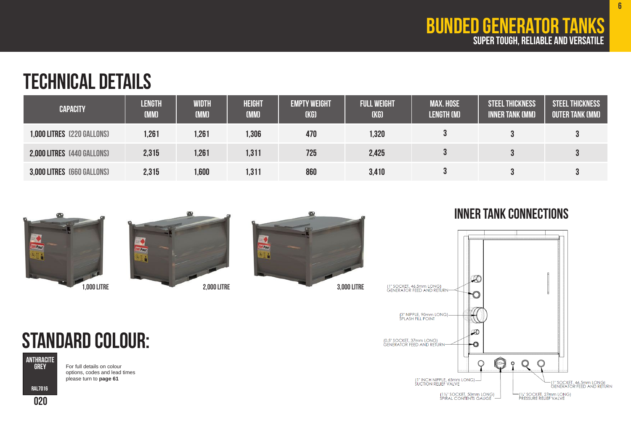6

### TECHNICAL DETAILS

| <b>CAPACITY</b>            | <b>LENGTH</b><br>(MM) | WIDTH<br>(MM) | <b>HEIGHT</b><br>(MM) | <b>EMPTY WEIGHT</b><br>(KG) | <b>FULL WEIGHT</b><br>(KG) | <b>MAX. HOSE</b><br><b>LENGTH (M)</b> | <b>STEEL THICKNESS</b><br><b>INNER TANK (MM)</b> | <b>STEEL THICKNESS</b><br><b>OUTER TANK (MM)</b> |
|----------------------------|-----------------------|---------------|-----------------------|-----------------------------|----------------------------|---------------------------------------|--------------------------------------------------|--------------------------------------------------|
| 1,000 LITRES (220 GALLONS) | 1,261                 | 1,261         | 1,306                 | 470                         | 1,320                      |                                       |                                                  |                                                  |
| 2,000 LITRES (440 GALLONS) | 2,315                 | 1,261         | 1,311                 | 725                         | 2,425                      |                                       |                                                  |                                                  |
| 3,000 LITRES (660 GALLONS) | 2,315                 | .600          | 1,311                 | 860                         | 3,410                      |                                       |                                                  |                                                  |







#### inner tank connections



# Standard colour:

ANTHRACITE GREY

For full details on colour options, codes and lead times please turn to **page 61**

020 RAL7016